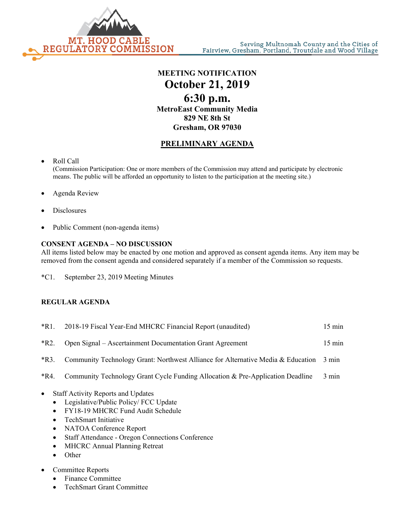

**MEETING NOTIFICATION October 21, 2019 6:30 p.m. MetroEast Community Media 829 NE 8th St Gresham, OR 97030**

## **PRELIMINARY AGENDA**

- Roll Call (Commission Participation: One or more members of the Commission may attend and participate by electronic means. The public will be afforded an opportunity to listen to the participation at the meeting site.)
- Agenda Review
- **Disclosures**
- Public Comment (non-agenda items)

## **CONSENT AGENDA – NO DISCUSSION**

All items listed below may be enacted by one motion and approved as consent agenda items. Any item may be removed from the consent agenda and considered separately if a member of the Commission so requests.

\*C1. September 23, 2019 Meeting Minutes

## **REGULAR AGENDA**

|        | *R1. 2018-19 Fiscal Year-End MHCRC Financial Report (unaudited)                             | $15 \text{ min}$ |
|--------|---------------------------------------------------------------------------------------------|------------------|
| $*R2.$ | Open Signal – Ascertainment Documentation Grant Agreement                                   | $15 \text{ min}$ |
|        | *R3. Community Technology Grant: Northwest Alliance for Alternative Media & Education 3 min |                  |
| *R4.   | Community Technology Grant Cycle Funding Allocation & Pre-Application Deadline              | $3 \text{ min}$  |

- Staff Activity Reports and Updates
	- Legislative/Public Policy/ FCC Update
	- FY18-19 MHCRC Fund Audit Schedule
	- TechSmart Initiative
	- NATOA Conference Report
	- Staff Attendance Oregon Connections Conference
	- MHCRC Annual Planning Retreat
	- Other
- Committee Reports
	- Finance Committee
	- TechSmart Grant Committee